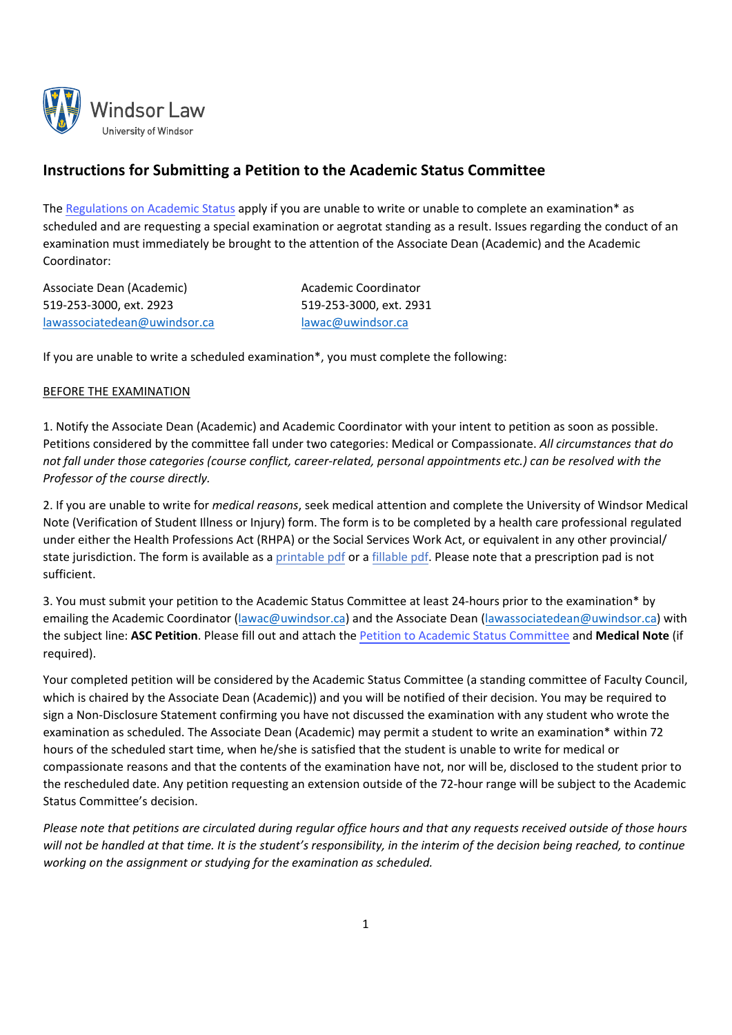

# **Instructions for Submitting a Petition to the Academic Status Committee**

The [Regulations](https://www.uwindsor.ca/law/academic-coordinator/sites/uwindsor.ca.law.academic-coordinator/files/law_1_academic_status_0.pdf) on Academic Status apply if you are unable to write or unable to complete an examination\* as scheduled and are requesting a special examination or aegrotat standing as a result. Issues regarding the conduct of an examination must immediately be brought to the attention of the Associate Dean (Academic) and the Academic Coordinator:

| Associate Dean (Academic)    |
|------------------------------|
| 519-253-3000, ext. 2923      |
| lawassociatedean@uwindsor.ca |

Academic Coordinator 519-253-3000, ext. 2931 lawac@uwindsor.ca

If you are unable to write a scheduled examination\*, you must complete the following:

# BEFORE THE EXAMINATION

1. Notify the Associate Dean (Academic) and Academic Coordinator with your intent to petition as soon as possible. Petitions considered by the committee fall under two categories: Medical or Compassionate. *All circumstances that do* not fall under those categories (course conflict, career-related, personal appointments etc.) can be resolved with the *Professor of the course directly.*

2. If you are unable to write for *medical reasons*, seek medical attention and complete the University of Windsor Medical Note (Verification of Student Illness or Injury) form. The form is to be completed by a health care professional regulated under either the Health Professions Act (RHPA) or the Social Services Work Act, or equivalent in any other provincial/ state jurisdiction. The form is available as a [printable](https://www.uwindsor.ca/law/student-resources/sites/uwindsor.ca.law.student-resources/files/medical_notes_from_regualted_health_care_professionals_amended_2020522.pdf) pdf or a [fillable](https://www.uwindsor.ca/law/student-resources/sites/uwindsor.ca.law.student-resources/files/fillable_medical_notes_from_regualted_health_care_professionals_amended_2020522.pdf) pdf. Please note that a prescription pad is not sufficient.

3. You must submit your petition to the Academic Status Committee at least 24‐hours prior to the examination\* by emailing the Academic Coordinator (lawac@uwindsor.ca) and the Associate Dean (lawassociatedean@uwindsor.ca) with the subject line: **ASC Petition**. Please fill out and attach the [Petition to Academic Status Committee](https://www.uwindsor.ca/law/student-resources/sites/uwindsor.ca.law.student-resources/files/academic_status_committee_student_petition_form_revised_210913.pdf) and **Medical Note** (if required).

Your completed petition will be considered by the Academic Status Committee (a standing committee of Faculty Council, which is chaired by the Associate Dean (Academic)) and you will be notified of their decision. You may be required to sign a Non‐Disclosure Statement confirming you have not discussed the examination with any student who wrote the examination as scheduled. The Associate Dean (Academic) may permit a student to write an examination\* within 72 hours of the scheduled start time, when he/she is satisfied that the student is unable to write for medical or compassionate reasons and that the contents of the examination have not, nor will be, disclosed to the student prior to the rescheduled date. Any petition requesting an extension outside of the 72‐hour range will be subject to the Academic Status Committee's decision.

Please note that petitions are circulated during regular office hours and that any requests received outside of those hours will not be handled at that time. It is the student's responsibility, in the interim of the decision being reached, to continue *working on the assignment or studying for the examination as scheduled.*